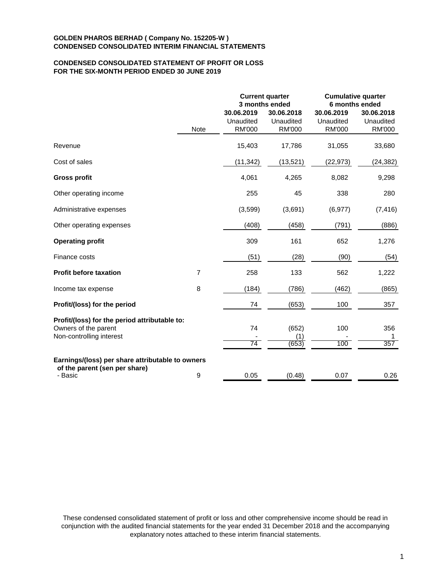## **CONDENSED CONSOLIDATED STATEMENT OF PROFIT OR LOSS FOR THE SIX-MONTH PERIOD ENDED 30 JUNE 2019**

|                                                                       |                |                                          | <b>Current quarter</b><br>3 months ended | <b>Cumulative quarter</b><br>6 months ended |                                          |  |
|-----------------------------------------------------------------------|----------------|------------------------------------------|------------------------------------------|---------------------------------------------|------------------------------------------|--|
|                                                                       | <b>Note</b>    | 30.06.2019<br>Unaudited<br><b>RM'000</b> | 30.06.2018<br>Unaudited<br><b>RM'000</b> | 30.06.2019<br>Unaudited<br><b>RM'000</b>    | 30.06.2018<br>Unaudited<br><b>RM'000</b> |  |
| Revenue                                                               |                | 15,403                                   | 17,786                                   | 31,055                                      | 33,680                                   |  |
| Cost of sales                                                         |                | (11, 342)                                | (13,521)                                 | (22, 973)                                   | (24, 382)                                |  |
| <b>Gross profit</b>                                                   |                | 4,061                                    | 4,265                                    | 8,082                                       | 9,298                                    |  |
| Other operating income                                                |                | 255                                      | 45                                       | 338                                         | 280                                      |  |
| Administrative expenses                                               |                | (3,599)                                  | (3,691)                                  | (6, 977)                                    | (7, 416)                                 |  |
| Other operating expenses                                              |                | (408)                                    | (458)                                    | (791)                                       | (886)                                    |  |
| <b>Operating profit</b>                                               |                | 309                                      | 161                                      | 652                                         | 1,276                                    |  |
| Finance costs                                                         |                | (51)                                     | (28)                                     | (90)                                        | (54)                                     |  |
| <b>Profit before taxation</b>                                         | $\overline{7}$ | 258                                      | 133                                      | 562                                         | 1,222                                    |  |
| Income tax expense                                                    | 8              | (184)                                    | (786)                                    | (462)                                       | (865)                                    |  |
| Profit/(loss) for the period                                          |                | 74                                       | (653)                                    | 100                                         | 357                                      |  |
| Profit/(loss) for the period attributable to:<br>Owners of the parent |                | 74                                       | (652)                                    | 100                                         | 356                                      |  |
| Non-controlling interest                                              |                | 74                                       | (1)<br>(653)                             | 100                                         | 357                                      |  |
| Earnings/(loss) per share attributable to owners                      |                |                                          |                                          |                                             |                                          |  |
| of the parent (sen per share)<br>- Basic                              | 9              | 0.05                                     | (0.48)                                   | 0.07                                        | 0.26                                     |  |

These condensed consolidated statement of profit or loss and other comprehensive income should be read in conjunction with the audited financial statements for the year ended 31 December 2018 and the accompanying explanatory notes attached to these interim financial statements.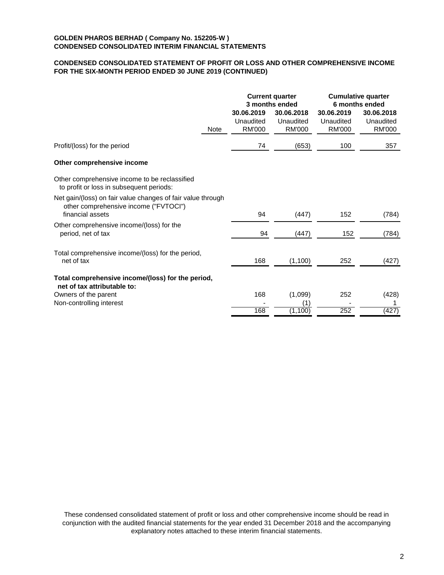## **CONDENSED CONSOLIDATED STATEMENT OF PROFIT OR LOSS AND OTHER COMPREHENSIVE INCOME FOR THE SIX-MONTH PERIOD ENDED 30 JUNE 2019 (CONTINUED)**

|                                                                                                                          |      | <b>Current quarter</b><br>3 months ended |                                          | <b>Cumulative quarter</b><br>6 months ended |                                          |
|--------------------------------------------------------------------------------------------------------------------------|------|------------------------------------------|------------------------------------------|---------------------------------------------|------------------------------------------|
|                                                                                                                          | Note | 30.06.2019<br>Unaudited<br><b>RM'000</b> | 30.06.2018<br>Unaudited<br><b>RM'000</b> | 30.06.2019<br>Unaudited<br><b>RM'000</b>    | 30.06.2018<br>Unaudited<br><b>RM'000</b> |
| Profit/(loss) for the period                                                                                             |      | 74                                       | (653)                                    | 100                                         | 357                                      |
| Other comprehensive income                                                                                               |      |                                          |                                          |                                             |                                          |
| Other comprehensive income to be reclassified<br>to profit or loss in subsequent periods:                                |      |                                          |                                          |                                             |                                          |
| Net gain/(loss) on fair value changes of fair value through<br>other comprehensive income ("FVTOCI")<br>financial assets |      | 94                                       | (447)                                    | 152                                         | (784)                                    |
| Other comprehensive income/(loss) for the<br>period, net of tax                                                          |      | 94                                       | (447)                                    | 152                                         | (784)                                    |
| Total comprehensive income/(loss) for the period,<br>net of tax                                                          |      | 168                                      | (1, 100)                                 | 252                                         | (427)                                    |
| Total comprehensive income/(loss) for the period,<br>net of tax attributable to:                                         |      |                                          |                                          |                                             |                                          |
| Owners of the parent<br>Non-controlling interest                                                                         |      | 168                                      | (1,099)<br>(1)                           | 252                                         | (428)                                    |
|                                                                                                                          |      | 168                                      | (1, 100)                                 | 252                                         | (427)                                    |

These condensed consolidated statement of profit or loss and other comprehensive income should be read in conjunction with the audited financial statements for the year ended 31 December 2018 and the accompanying explanatory notes attached to these interim financial statements.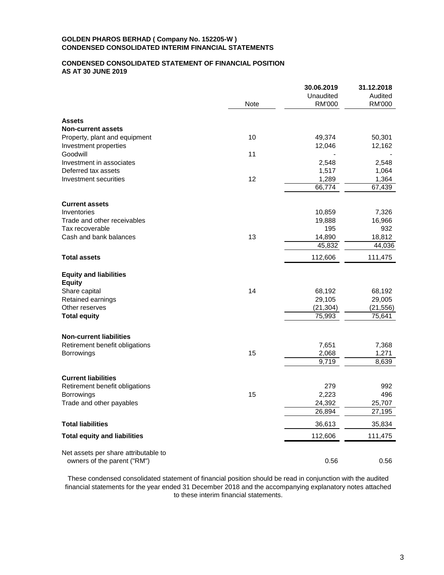### **CONDENSED CONSOLIDATED STATEMENT OF FINANCIAL POSITION AS AT 30 JUNE 2019**

|                                                                     |      | 30.06.2019    | 31.12.2018    |
|---------------------------------------------------------------------|------|---------------|---------------|
|                                                                     |      | Unaudited     | Audited       |
|                                                                     | Note | <b>RM'000</b> | <b>RM'000</b> |
| <b>Assets</b>                                                       |      |               |               |
| <b>Non-current assets</b>                                           |      |               |               |
| Property, plant and equipment                                       | 10   | 49,374        | 50,301        |
| Investment properties                                               |      | 12,046        | 12,162        |
| Goodwill                                                            | 11   |               |               |
| Investment in associates                                            |      | 2,548         | 2,548         |
| Deferred tax assets                                                 |      | 1,517         | 1,064         |
| Investment securities                                               | 12   | 1,289         | 1,364         |
|                                                                     |      | 66,774        | 67,439        |
| <b>Current assets</b>                                               |      |               |               |
| Inventories                                                         |      | 10,859        | 7,326         |
| Trade and other receivables                                         |      | 19,888        | 16,966        |
| Tax recoverable                                                     |      | 195           | 932           |
| Cash and bank balances                                              | 13   | 14,890        | 18,812        |
|                                                                     |      | 45,832        | 44,036        |
| <b>Total assets</b>                                                 |      | 112,606       | 111,475       |
| <b>Equity and liabilities</b>                                       |      |               |               |
| <b>Equity</b>                                                       |      |               |               |
| Share capital                                                       | 14   | 68,192        | 68,192        |
| Retained earnings                                                   |      | 29,105        | 29,005        |
| Other reserves                                                      |      | (21, 304)     | (21, 556)     |
| <b>Total equity</b>                                                 |      | 75,993        | 75,641        |
| <b>Non-current liabilities</b>                                      |      |               |               |
| Retirement benefit obligations                                      |      | 7,651         | 7,368         |
| Borrowings                                                          | 15   | 2,068         | 1,271         |
|                                                                     |      | 9,719         | 8,639         |
| <b>Current liabilities</b>                                          |      |               |               |
| Retirement benefit obligations                                      |      | 279           | 992           |
| Borrowings                                                          | 15   | 2,223         | 496           |
| Trade and other payables                                            |      | 24,392        | 25,707        |
|                                                                     |      | 26,894        | 27,195        |
| <b>Total liabilities</b>                                            |      | 36,613        | 35,834        |
| <b>Total equity and liabilities</b>                                 |      | 112,606       | 111,475       |
|                                                                     |      |               |               |
| Net assets per share attributable to<br>owners of the parent ("RM") |      | 0.56          | 0.56          |
|                                                                     |      |               |               |

These condensed consolidated statement of financial position should be read in conjunction with the audited financial statements for the year ended 31 December 2018 and the accompanying explanatory notes attached to these interim financial statements.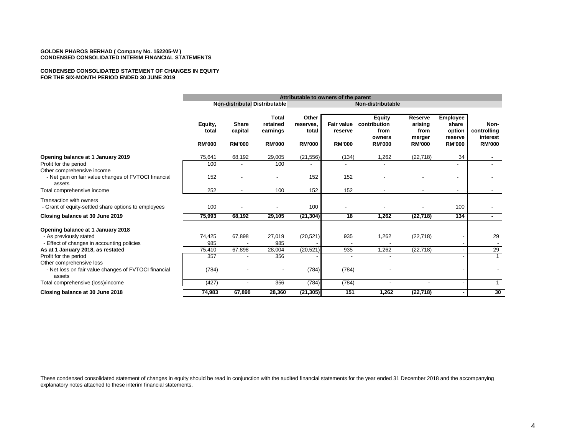#### **CONDENSED CONSOLIDATED STATEMENT OF CHANGES IN EQUITY FOR THE SIX-MONTH PERIOD ENDED 30 JUNE 2019**

|                                                                                                                    |                                   | Attributable to owners of the parent     |                                                       |                                              |                                               |                                                                  |                                                       |                                                                |                                                  |
|--------------------------------------------------------------------------------------------------------------------|-----------------------------------|------------------------------------------|-------------------------------------------------------|----------------------------------------------|-----------------------------------------------|------------------------------------------------------------------|-------------------------------------------------------|----------------------------------------------------------------|--------------------------------------------------|
|                                                                                                                    |                                   |                                          | Non-distributal Distributable                         |                                              | Non-distributable                             |                                                                  |                                                       |                                                                |                                                  |
|                                                                                                                    | Equity,<br>total<br><b>RM'000</b> | <b>Share</b><br>capital<br><b>RM'000</b> | <b>Total</b><br>retained<br>earnings<br><b>RM'000</b> | Other<br>reserves.<br>total<br><b>RM'000</b> | <b>Fair value</b><br>reserve<br><b>RM'000</b> | <b>Equity</b><br>contribution<br>from<br>owners<br><b>RM'000</b> | Reserve<br>arising<br>from<br>merger<br><b>RM'000</b> | <b>Employee</b><br>share<br>option<br>reserve<br><b>RM'000</b> | Non-<br>controlling<br>interest<br><b>RM'000</b> |
| Opening balance at 1 January 2019                                                                                  | 75,641                            | 68,192                                   | 29,005                                                | (21, 556)                                    | (134)                                         | 1,262                                                            | (22, 718)                                             | 34                                                             | $\overline{\phantom{a}}$                         |
| Profit for the period                                                                                              | 100                               |                                          | 100                                                   |                                              |                                               |                                                                  |                                                       |                                                                |                                                  |
| Other comprehensive income<br>- Net gain on fair value changes of FVTOCI financial<br>assets                       | 152                               |                                          |                                                       | 152                                          | 152                                           |                                                                  |                                                       |                                                                |                                                  |
| Total comprehensive income                                                                                         | 252                               | $\overline{\phantom{a}}$                 | 100                                                   | 152                                          | 152                                           |                                                                  |                                                       |                                                                | $\blacksquare$                                   |
| Transaction with owners<br>- Grant of equity-settled share options to employees<br>Closing balance at 30 June 2019 | 100<br>75,993                     | 68,192                                   | 29,105                                                | 100<br>(21, 304)                             | 18                                            | 1,262                                                            | (22, 718)                                             | 100<br>134                                                     | $\sim$                                           |
|                                                                                                                    |                                   |                                          |                                                       |                                              |                                               |                                                                  |                                                       |                                                                |                                                  |
| Opening balance at 1 January 2018<br>- As previously stated<br>- Effect of changes in accounting policies          | 74,425<br>985                     | 67,898                                   | 27,019<br>985                                         | (20, 521)                                    | 935                                           | 1,262                                                            | (22, 718)                                             |                                                                | 29                                               |
| As at 1 January 2018, as restated                                                                                  | 75,410                            | 67,898                                   | 28,004                                                | (20, 521)                                    | 935                                           | 1,262                                                            | (22, 718)                                             |                                                                | 29                                               |
| Profit for the period<br>Other comprehensive loss                                                                  | 357                               |                                          | 356                                                   |                                              |                                               |                                                                  |                                                       |                                                                |                                                  |
| - Net loss on fair value changes of FVTOCI financial<br>assets                                                     | (784)                             |                                          |                                                       | (784)                                        | (784)                                         |                                                                  |                                                       |                                                                |                                                  |
| Total comprehensive (loss)/income                                                                                  | (427)                             | $\overline{\phantom{a}}$                 | 356                                                   | (784)                                        | (784)                                         |                                                                  | $\overline{\phantom{a}}$                              |                                                                |                                                  |
| Closing balance at 30 June 2018                                                                                    | 74,983                            | 67,898                                   | 28,360                                                | (21, 305)                                    | 151                                           | 1,262                                                            | (22, 718)                                             |                                                                | 30                                               |

These condensed consolidated statement of changes in equity should be read in conjunction with the audited financial statements for the year ended 31 December 2018 and the accompanying explanatory notes attached to these interim financial statements.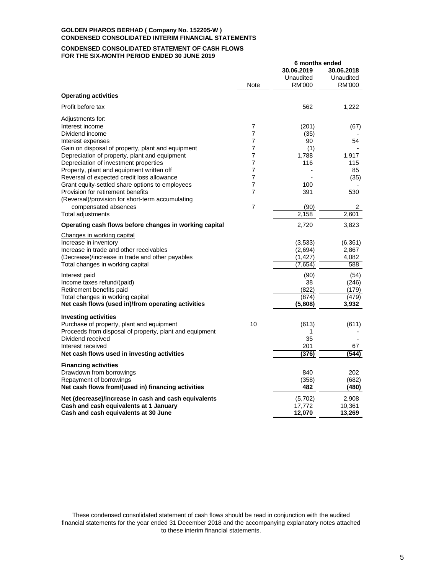#### **CONDENSED CONSOLIDATED STATEMENT OF CASH FLOWS FOR THE SIX-MONTH PERIOD ENDED 30 JUNE 2019**

|                                                                                                                                                                                                                                                                                                                                                                                                                                                                                           |                                                                               | 6 months ended<br>30.06.2019<br>Unaudited                                            | 30.06.2018<br>Unaudited                                                       |
|-------------------------------------------------------------------------------------------------------------------------------------------------------------------------------------------------------------------------------------------------------------------------------------------------------------------------------------------------------------------------------------------------------------------------------------------------------------------------------------------|-------------------------------------------------------------------------------|--------------------------------------------------------------------------------------|-------------------------------------------------------------------------------|
|                                                                                                                                                                                                                                                                                                                                                                                                                                                                                           | Note                                                                          | RM'000                                                                               | RM'000                                                                        |
| <b>Operating activities</b>                                                                                                                                                                                                                                                                                                                                                                                                                                                               |                                                                               |                                                                                      |                                                                               |
| Profit before tax                                                                                                                                                                                                                                                                                                                                                                                                                                                                         |                                                                               | 562                                                                                  | 1,222                                                                         |
| Adjustments for:<br>Interest income<br>Dividend income<br>Interest expenses<br>Gain on disposal of property, plant and equipment<br>Depreciation of property, plant and equipment<br>Depreciation of investment properties<br>Property, plant and equipment written off<br>Reversal of expected credit loss allowance<br>Grant equity-settled share options to employees<br>Provision for retirement benefits<br>(Reversal)/provision for short-term accumulating<br>compensated absences | 7<br>7<br>7<br>7<br>$\overline{7}$<br>7<br>7<br>7<br>7<br>7<br>$\overline{7}$ | (201)<br>(35)<br>90<br>(1)<br>1,788<br>116<br>100<br>391<br>(90)<br>2,158            | (67)<br>54<br>1,917<br>115<br>85<br>(35)<br>530<br>2<br>2,601                 |
| Total adjustments                                                                                                                                                                                                                                                                                                                                                                                                                                                                         |                                                                               |                                                                                      |                                                                               |
| Operating cash flows before changes in working capital                                                                                                                                                                                                                                                                                                                                                                                                                                    |                                                                               | 2,720                                                                                | 3,823                                                                         |
| Changes in working capital<br>Increase in inventory<br>Increase in trade and other receivables<br>(Decrease)/increase in trade and other payables<br>Total changes in working capital<br>Interest paid<br>Income taxes refund/(paid)<br>Retirement benefits paid<br>Total changes in working capital<br>Net cash flows (used in)/from operating activities                                                                                                                                |                                                                               | (3,533)<br>(2,694)<br>(1, 427)<br>(7,654)<br>(90)<br>38<br>(822)<br>(874)<br>(5,808) | (6, 361)<br>2,867<br>4,082<br>588<br>(54)<br>(246)<br>(179)<br>(479)<br>3,932 |
| <b>Investing activities</b><br>Purchase of property, plant and equipment<br>Proceeds from disposal of property, plant and equipment<br>Dividend received<br>Interest received<br>Net cash flows used in investing activities                                                                                                                                                                                                                                                              | 10                                                                            | (613)<br>1<br>35<br>201<br>(376)                                                     | (611)<br>67<br>(544)                                                          |
| <b>Financing activities</b><br>Drawdown from borrowings<br>Repayment of borrowings<br>Net cash flows from/(used in) financing activities                                                                                                                                                                                                                                                                                                                                                  |                                                                               | 840<br>(358)<br>482                                                                  | 202<br>(682)<br>(480)                                                         |
| Net (decrease)/increase in cash and cash equivalents<br>Cash and cash equivalents at 1 January<br>Cash and cash equivalents at 30 June                                                                                                                                                                                                                                                                                                                                                    |                                                                               | (5,702)<br>17,772<br>12,070                                                          | 2,908<br>10,361<br>13,269                                                     |

These condensed consolidated statement of cash flows should be read in conjunction with the audited financial statements for the year ended 31 December 2018 and the accompanying explanatory notes attached to these interim financial statements.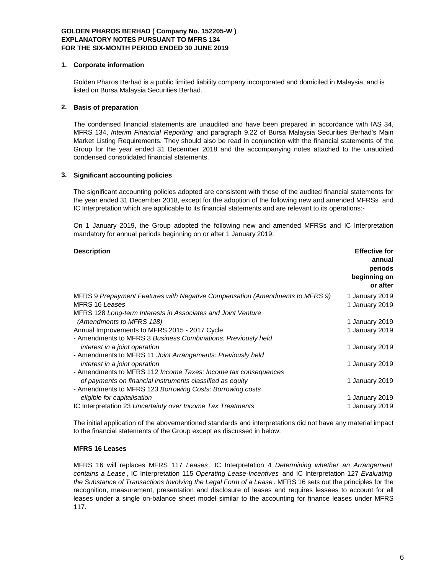#### **1. Corporate information**

Golden Pharos Berhad is a public limited liability company incorporated and domiciled in Malaysia, and is listed on Bursa Malaysia Securities Berhad.

### **2. Basis of preparation**

The condensed financial statements are unaudited and have been prepared in accordance with IAS 34, MFRS 134, *Interim Financial Reporting* and paragraph 9.22 of Bursa Malaysia Securities Berhad's Main Market Listing Requirements. They should also be read in conjunction with the financial statements of the Group for the year ended 31 December 2018 and the accompanying notes attached to the unaudited condensed consolidated financial statements.

### **3. Significant accounting policies**

The significant accounting policies adopted are consistent with those of the audited financial statements for the year ended 31 December 2018, except for the adoption of the following new and amended MFRSs and IC Interpretation which are applicable to its financial statements and are relevant to its operations:-

On 1 January 2019, the Group adopted the following new and amended MFRSs and IC Interpretation mandatory for annual periods beginning on or after 1 January 2019:

| <b>Description</b>                                                           | <b>Effective for</b><br>annual<br>periods<br>beginning on<br>or after |
|------------------------------------------------------------------------------|-----------------------------------------------------------------------|
| MFRS 9 Prepayment Features with Negative Compensation (Amendments to MFRS 9) | 1 January 2019                                                        |
| MFRS 16 Leases                                                               | 1 January 2019                                                        |
| MFRS 128 Long-term Interests in Associates and Joint Venture                 |                                                                       |
| (Amendments to MFRS 128)                                                     | 1 January 2019                                                        |
| Annual Improvements to MFRS 2015 - 2017 Cycle                                | 1 January 2019                                                        |
| - Amendments to MFRS 3 Business Combinations: Previously held                |                                                                       |
| interest in a joint operation                                                | 1 January 2019                                                        |
| - Amendments to MFRS 11 Joint Arrangements: Previously held                  |                                                                       |
| interest in a joint operation                                                | 1 January 2019                                                        |
| - Amendments to MFRS 112 <i>Income Taxes: Income tax consequences</i>        |                                                                       |
| of payments on financial instruments classified as equity                    | 1 January 2019                                                        |
| - Amendments to MFRS 123 Borrowing Costs: Borrowing costs                    |                                                                       |
| eligible for capitalisation                                                  | 1 January 2019                                                        |
| IC Interpretation 23 Uncertainty over Income Tax Treatments                  | 1 January 2019                                                        |

The initial application of the abovementioned standards and interpretations did not have any material impact to the financial statements of the Group except as discussed in below:

### **MFRS 16 Leases**

MFRS 16 will replaces MFRS 117 *Leases* , IC Interpretation 4 *Determining whether an Arrangement contains a Lease* , IC Interpretation 115 *Operating Lease-Incentives* and IC Interpretation 127 *Evaluating the Substance of Transactions Involving the Legal Form of a Lease* . MFRS 16 sets out the principles for the recognition, measurement, presentation and disclosure of leases and requires lessees to account for all leases under a single on-balance sheet model similar to the accounting for finance leases under MFRS 117.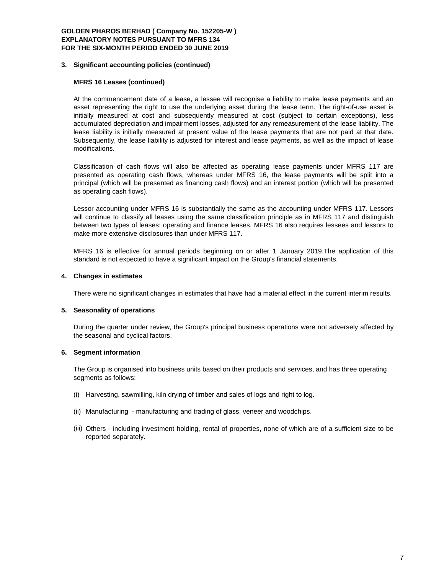#### **3. Significant accounting policies (continued)**

### **MFRS 16 Leases (continued)**

At the commencement date of a lease, a lessee will recognise a liability to make lease payments and an asset representing the right to use the underlying asset during the lease term. The right-of-use asset is initially measured at cost and subsequently measured at cost (subject to certain exceptions), less accumulated depreciation and impairment losses, adjusted for any remeasurement of the lease liability. The lease liability is initially measured at present value of the lease payments that are not paid at that date. Subsequently, the lease liability is adjusted for interest and lease payments, as well as the impact of lease modifications.

Classification of cash flows will also be affected as operating lease payments under MFRS 117 are presented as operating cash flows, whereas under MFRS 16, the lease payments will be split into a principal (which will be presented as financing cash flows) and an interest portion (which will be presented as operating cash flows).

Lessor accounting under MFRS 16 is substantially the same as the accounting under MFRS 117. Lessors will continue to classify all leases using the same classification principle as in MFRS 117 and distinguish between two types of leases: operating and finance leases. MFRS 16 also requires lessees and lessors to make more extensive disclosures than under MFRS 117.

MFRS 16 is effective for annual periods beginning on or after 1 January 2019.The application of this standard is not expected to have a significant impact on the Group's financial statements.

#### **4. Changes in estimates**

There were no significant changes in estimates that have had a material effect in the current interim results.

#### **5. Seasonality of operations**

During the quarter under review, the Group's principal business operations were not adversely affected by the seasonal and cyclical factors.

#### **6. Segment information**

The Group is organised into business units based on their products and services, and has three operating segments as follows:

- (i) Harvesting, sawmilling, kiln drying of timber and sales of logs and right to log.
- (ii) Manufacturing manufacturing and trading of glass, veneer and woodchips.
- (iii) Others including investment holding, rental of properties, none of which are of a sufficient size to be reported separately.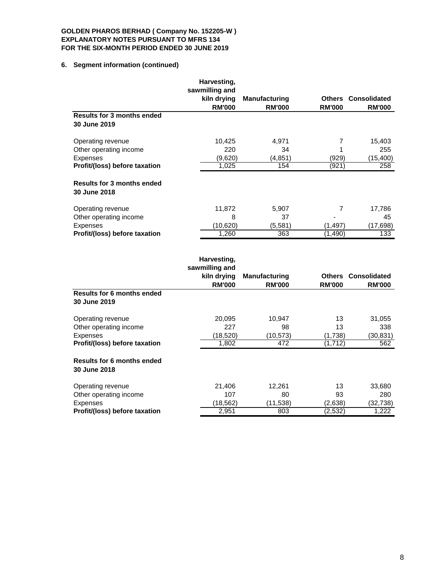# **6. Segment information (continued)**

|                                                                            | Harvesting,<br>sawmilling and |                                                                                                                                                                                                                                                                                                             |                             |                                                        |
|----------------------------------------------------------------------------|-------------------------------|-------------------------------------------------------------------------------------------------------------------------------------------------------------------------------------------------------------------------------------------------------------------------------------------------------------|-----------------------------|--------------------------------------------------------|
|                                                                            | kiln drying                   | <b>Manufacturing</b>                                                                                                                                                                                                                                                                                        |                             | <b>Others Consolidated</b>                             |
| Results for 3 months ended<br>30 June 2019                                 | <b>RM'000</b>                 | <b>RM'000</b>                                                                                                                                                                                                                                                                                               | <b>RM'000</b>               | <b>RM'000</b>                                          |
| Operating revenue                                                          | 10,425                        | 4,971                                                                                                                                                                                                                                                                                                       | 7                           | 15,403                                                 |
| Other operating income<br><b>Expenses</b>                                  | 220<br>(9,620)                | 34<br>(4, 851)                                                                                                                                                                                                                                                                                              | 1<br>(929)                  | 255<br>(15, 400)                                       |
| Profit/(loss) before taxation                                              | 1,025                         | 154                                                                                                                                                                                                                                                                                                         | (921)                       | 258                                                    |
| <b>Results for 3 months ended</b><br>30 June 2018                          |                               |                                                                                                                                                                                                                                                                                                             |                             |                                                        |
| Operating revenue                                                          | 11,872<br>8                   | 5,907                                                                                                                                                                                                                                                                                                       | 7                           | 17,786                                                 |
| Other operating income<br><b>Expenses</b><br>Profit/(loss) before taxation | (10,620)<br>1,260             | 37<br>(5, 581)<br>363                                                                                                                                                                                                                                                                                       | (1,497)<br>(1, 490)         | 45<br>(17,698)<br>133                                  |
|                                                                            |                               |                                                                                                                                                                                                                                                                                                             |                             |                                                        |
|                                                                            | Harvesting,<br>sawmilling and | $\mathbf{1}$ , $\mathbf{1}$ , $\mathbf{1}$ , $\mathbf{1}$ , $\mathbf{1}$ , $\mathbf{1}$ , $\mathbf{1}$ , $\mathbf{1}$ , $\mathbf{1}$ , $\mathbf{1}$ , $\mathbf{1}$ , $\mathbf{1}$ , $\mathbf{1}$ , $\mathbf{1}$ , $\mathbf{1}$ , $\mathbf{1}$ , $\mathbf{1}$ , $\mathbf{1}$ , $\mathbf{1}$ , $\mathbf{1}$ , | $\sim$ $\sim$ $\sim$ $\sim$ | $\mathbf{A}$ and a set of the final state $\mathbf{A}$ |

|                                                   | sawmilling and |                      |               |                     |
|---------------------------------------------------|----------------|----------------------|---------------|---------------------|
|                                                   | kiln drying    | <b>Manufacturing</b> | <b>Others</b> | <b>Consolidated</b> |
|                                                   | <b>RM'000</b>  | <b>RM'000</b>        | <b>RM'000</b> | <b>RM'000</b>       |
| <b>Results for 6 months ended</b>                 |                |                      |               |                     |
| 30 June 2019                                      |                |                      |               |                     |
| Operating revenue                                 | 20,095         | 10,947               | 13            | 31,055              |
| Other operating income                            | 227            | 98                   | 13            | 338                 |
| Expenses                                          | (18,520)       | (10, 573)            | (1,738)       | (30,831)            |
| Profit/(loss) before taxation                     | 1,802          | 472                  | (1, 712)      | 562                 |
| <b>Results for 6 months ended</b><br>30 June 2018 |                |                      |               |                     |
| Operating revenue                                 | 21,406         | 12,261               | 13            | 33,680              |
| Other operating income                            | 107            | 80                   | 93            | 280                 |
| Expenses                                          | (18,562)       | (11,538)             | (2,638)       | (32,738)            |
| Profit/(loss) before taxation                     | 2,951          | 803                  | (2,532)       | 1,222               |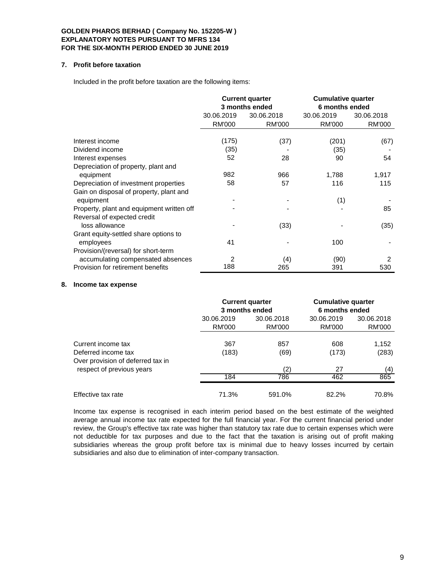### **7. Profit before taxation**

Included in the profit before taxation are the following items:

|                                           |                          | <b>Current quarter</b><br>3 months ended | <b>Cumulative quarter</b><br>6 months ended |            |
|-------------------------------------------|--------------------------|------------------------------------------|---------------------------------------------|------------|
|                                           | 30.06.2019<br>30.06.2018 |                                          | 30.06.2019                                  | 30.06.2018 |
|                                           | <b>RM'000</b>            | <b>RM'000</b>                            | RM'000                                      | RM'000     |
|                                           |                          |                                          |                                             |            |
| Interest income                           | (175)                    | (37)                                     | (201)                                       | (67)       |
| Dividend income                           | (35)                     |                                          | (35)                                        |            |
| Interest expenses                         | 52                       | 28                                       | 90                                          | 54         |
| Depreciation of property, plant and       |                          |                                          |                                             |            |
| equipment                                 | 982                      | 966                                      | 1,788                                       | 1,917      |
| Depreciation of investment properties     | 58                       | 57                                       | 116                                         | 115        |
| Gain on disposal of property, plant and   |                          |                                          |                                             |            |
| equipment                                 |                          |                                          | (1)                                         |            |
| Property, plant and equipment written off |                          |                                          |                                             | 85         |
| Reversal of expected credit               |                          |                                          |                                             |            |
| loss allowance                            |                          | (33)                                     |                                             | (35)       |
| Grant equity-settled share options to     |                          |                                          |                                             |            |
| employees                                 | 41                       |                                          | 100                                         |            |
| Provision/(reversal) for short-term       |                          |                                          |                                             |            |
| accumulating compensated absences         | 2                        | (4)                                      | (90)                                        | 2          |
| Provision for retirement benefits         | 188                      | 265                                      | 391                                         | 530        |

### **8. Income tax expense**

|                                   |            | <b>Current quarter</b><br>3 months ended | <b>Cumulative quarter</b><br>6 months ended |            |  |
|-----------------------------------|------------|------------------------------------------|---------------------------------------------|------------|--|
|                                   | 30.06.2019 | 30.06.2018                               | 30.06.2019                                  | 30.06.2018 |  |
|                                   | RM'000     | RM'000                                   | RM'000                                      | RM'000     |  |
| Current income tax                | 367        | 857                                      | 608                                         | 1,152      |  |
| Deferred income tax               | (183)      | (69)                                     | (173)                                       | (283)      |  |
| Over provision of deferred tax in | 184        | (2)                                      | 27                                          | (4)        |  |
| respect of previous years         |            | 786                                      | 462                                         | 865        |  |
| Effective tax rate                | 71.3%      | 591.0%                                   | $82.2\%$                                    | 70.8%      |  |

Income tax expense is recognised in each interim period based on the best estimate of the weighted average annual income tax rate expected for the full financial year. For the current financial period under review, the Group's effective tax rate was higher than statutory tax rate due to certain expenses which were not deductible for tax purposes and due to the fact that the taxation is arising out of profit making subsidiaries whereas the group profit before tax is minimal due to heavy losses incurred by certain subsidiaries and also due to elimination of inter-company transaction.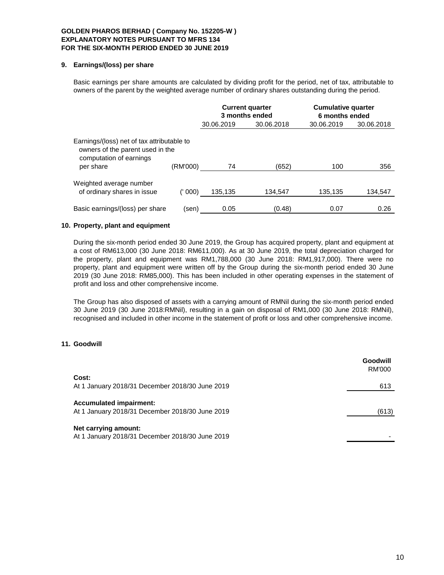### **9. Earnings/(loss) per share**

Basic earnings per share amounts are calculated by dividing profit for the period, net of tax, attributable to owners of the parent by the weighted average number of ordinary shares outstanding during the period.

|                                                                                                                        |          |            | <b>Current quarter</b><br>3 months ended | <b>Cumulative quarter</b><br>6 months ended |            |  |
|------------------------------------------------------------------------------------------------------------------------|----------|------------|------------------------------------------|---------------------------------------------|------------|--|
|                                                                                                                        |          | 30.06.2019 | 30.06.2018                               | 30.06.2019                                  | 30.06.2018 |  |
| Earnings/(loss) net of tax attributable to<br>owners of the parent used in the<br>computation of earnings<br>per share | (RM'000) | 74         | (652)                                    | 100                                         | 356        |  |
| Weighted average number<br>of ordinary shares in issue                                                                 | 000)     | 135,135    | 134,547                                  | 135,135                                     | 134,547    |  |
| Basic earnings/(loss) per share                                                                                        | (sen)    | 0.05       | (0.48)                                   | 0.07                                        | 0.26       |  |

### **10. Property, plant and equipment**

During the six-month period ended 30 June 2019, the Group has acquired property, plant and equipment at a cost of RM613,000 (30 June 2018: RM611,000). As at 30 June 2019, the total depreciation charged for the property, plant and equipment was RM1,788,000 (30 June 2018: RM1,917,000). There were no property, plant and equipment were written off by the Group during the six-month period ended 30 June 2019 (30 June 2018: RM85,000). This has been included in other operating expenses in the statement of profit and loss and other comprehensive income.

The Group has also disposed of assets with a carrying amount of RMNil during the six-month period ended 30 June 2019 (30 June 2018:RMNil), resulting in a gain on disposal of RM1,000 (30 June 2018: RMNil), recognised and included in other income in the statement of profit or loss and other comprehensive income.

### **11. Goodwill**

|                                                                                   | Goodwill<br><b>RM'000</b> |
|-----------------------------------------------------------------------------------|---------------------------|
| Cost:                                                                             |                           |
| At 1 January 2018/31 December 2018/30 June 2019                                   | 613                       |
| <b>Accumulated impairment:</b><br>At 1 January 2018/31 December 2018/30 June 2019 | (613)                     |
| Net carrying amount:<br>At 1 January 2018/31 December 2018/30 June 2019           |                           |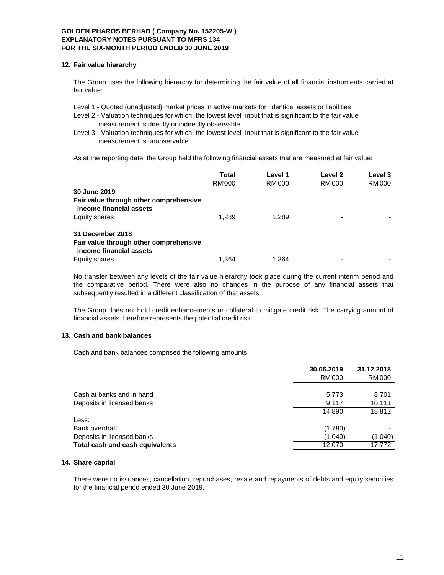#### **12. Fair value hierarchy**

The Group uses the following hierarchy for determining the fair value of all financial instruments carried at fair value:

- Level 1 Quoted (unadjusted) market prices in active markets for identical assets or liabilities
- Level 2 Valuation techniques for which the lowest level input that is significant to the fair value measurement is directly or indirectly observable
- Level 3 Valuation techniques for which the lowest level input that is significant to the fair value measurement is unobservable

As at the reporting date, the Group held the following financial assets that are measured at fair value:

|                                                                   | Total  | Level 1 | Level 2       | Level 3 |
|-------------------------------------------------------------------|--------|---------|---------------|---------|
|                                                                   | RM'000 | RM'000  | <b>RM'000</b> | RM'000  |
| 30 June 2019                                                      |        |         |               |         |
| Fair value through other comprehensive<br>income financial assets |        |         |               |         |
| Equity shares                                                     | 1.289  | 1.289   |               |         |
| 31 December 2018                                                  |        |         |               |         |
| Fair value through other comprehensive<br>income financial assets |        |         |               |         |
| Equity shares                                                     | 1.364  | 1.364   |               |         |

No transfer between any levels of the fair value hierarchy took place during the current interim period and the comparative period. There were also no changes in the purpose of any financial assets that subsequently resulted in a different classification of that assets.

The Group does not hold credit enhancements or collateral to mitigate credit risk. The carrying amount of financial assets therefore represents the potential credit risk.

### **13. Cash and bank balances**

Cash and bank balances comprised the following amounts:

|                                        | 30.06.2019<br>RM'000 | 31.12.2018<br><b>RM'000</b> |
|----------------------------------------|----------------------|-----------------------------|
| Cash at banks and in hand              | 5,773                | 8,701                       |
| Deposits in licensed banks             | 9,117                | 10,111                      |
|                                        | 14.890               | 18,812                      |
| Less:                                  |                      |                             |
| Bank overdraft                         | (1,780)              |                             |
| Deposits in licensed banks             | (1,040)              | (1,040)                     |
| <b>Total cash and cash equivalents</b> | 12.070               | 17.772                      |

#### **14. Share capital**

There were no issuances, cancellation, repurchases, resale and repayments of debts and equity securities for the financial period ended 30 June 2019.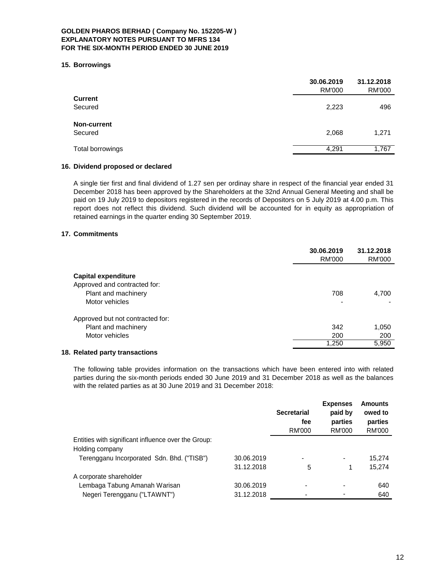#### **15. Borrowings**

|                  | 30.06.2019<br>RM'000 | 31.12.2018<br>RM'000 |
|------------------|----------------------|----------------------|
| <b>Current</b>   |                      |                      |
| Secured          | 2,223                | 496                  |
| Non-current      |                      |                      |
| Secured          | 2,068                | 1,271                |
|                  |                      |                      |
| Total borrowings | 4,291                | 1,767                |

### **16. Dividend proposed or declared**

A single tier first and final dividend of 1.27 sen per ordinay share in respect of the financial year ended 31 December 2018 has been approved by the Shareholders at the 32nd Annual General Meeting and shall be paid on 19 July 2019 to depositors registered in the records of Depositors on 5 July 2019 at 4.00 p.m. This report does not reflect this dividend. Such dividend will be accounted for in equity as appropriation of retained earnings in the quarter ending 30 September 2019.

### **17. Commitments**

|                                  | 30.06.2019<br>RM'000 | 31.12.2018<br>RM'000 |
|----------------------------------|----------------------|----------------------|
| Capital expenditure              |                      |                      |
| Approved and contracted for:     |                      |                      |
| Plant and machinery              | 708                  | 4.700                |
| Motor vehicles                   |                      |                      |
| Approved but not contracted for: |                      |                      |
| Plant and machinery              | 342                  | 1,050                |
| Motor vehicles                   | 200                  | 200                  |
|                                  | 1,250                | 5,950                |

### **18. Related party transactions**

The following table provides information on the transactions which have been entered into with related parties during the six-month periods ended 30 June 2019 and 31 December 2018 as well as the balances with the related parties as at 30 June 2019 and 31 December 2018:

|                                                          | <b>Secretarial</b><br>fee<br>RM'000 | <b>Expenses</b><br>paid by<br>parties<br>RM'000 | <b>Amounts</b><br>owed to<br>parties<br>RM'000 |
|----------------------------------------------------------|-------------------------------------|-------------------------------------------------|------------------------------------------------|
| Entities with significant influence over the Group:      |                                     |                                                 |                                                |
| Holding company                                          |                                     |                                                 |                                                |
| Terengganu Incorporated Sdn. Bhd. ("TISB")<br>30.06.2019 |                                     | $\overline{\phantom{a}}$                        | 15.274                                         |
| 31.12.2018                                               | 5                                   |                                                 | 15,274                                         |
| A corporate shareholder                                  |                                     |                                                 |                                                |
| Lembaga Tabung Amanah Warisan<br>30.06.2019              | $\blacksquare$                      | $\blacksquare$                                  | 640                                            |
| Negeri Terengganu ("LTAWNT")<br>31.12.2018               | $\,$                                |                                                 | 640                                            |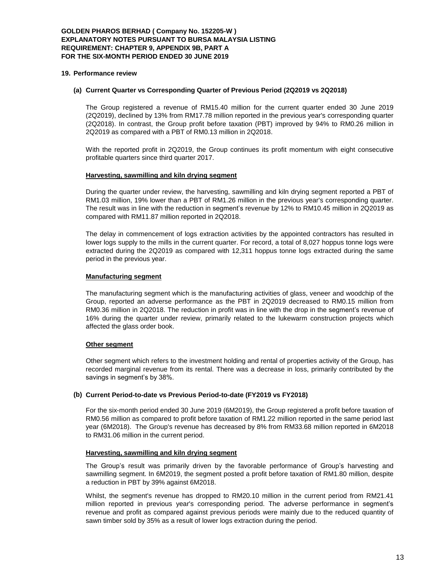#### **19. Performance review**

### **(a) Current Quarter vs Corresponding Quarter of Previous Period (2Q2019 vs 2Q2018)**

The Group registered a revenue of RM15.40 million for the current quarter ended 30 June 2019 (2Q2019), declined by 13% from RM17.78 million reported in the previous year's corresponding quarter (2Q2018). In contrast, the Group profit before taxation (PBT) improved by 94% to RM0.26 million in 2Q2019 as compared with a PBT of RM0.13 million in 2Q2018.

With the reported profit in 2Q2019, the Group continues its profit momentum with eight consecutive profitable quarters since third quarter 2017.

#### **Harvesting, sawmilling and kiln drying segment**

During the quarter under review, the harvesting, sawmilling and kiln drying segment reported a PBT of RM1.03 million, 19% lower than a PBT of RM1.26 million in the previous year's corresponding quarter. The result was in line with the reduction in segment's revenue by 12% to RM10.45 million in 2Q2019 as compared with RM11.87 million reported in 2Q2018.

The delay in commencement of logs extraction activities by the appointed contractors has resulted in lower logs supply to the mills in the current quarter. For record, a total of 8,027 hoppus tonne logs were extracted during the 2Q2019 as compared with 12,311 hoppus tonne logs extracted during the same period in the previous year.

#### **Manufacturing segment**

The manufacturing segment which is the manufacturing activities of glass, veneer and woodchip of the Group, reported an adverse performance as the PBT in 2Q2019 decreased to RM0.15 million from RM0.36 million in 2Q2018. The reduction in profit was in line with the drop in the segment's revenue of 16% during the quarter under review, primarily related to the lukewarm construction projects which affected the glass order book.

### **Other segment**

Other segment which refers to the investment holding and rental of properties activity of the Group, has recorded marginal revenue from its rental. There was a decrease in loss, primarily contributed by the savings in segment's by 38%.

### **(b) Current Period-to-date vs Previous Period-to-date (FY2019 vs FY2018)**

For the six-month period ended 30 June 2019 (6M2019), the Group registered a profit before taxation of RM0.56 million as compared to profit before taxation of RM1.22 million reported in the same period last year (6M2018). The Group's revenue has decreased by 8% from RM33.68 million reported in 6M2018 to RM31.06 million in the current period.

### **Harvesting, sawmilling and kiln drying segment**

The Group's result was primarily driven by the favorable performance of Group's harvesting and sawmilling segment. In 6M2019, the segment posted a profit before taxation of RM1.80 million, despite a reduction in PBT by 39% against 6M2018.

Whilst, the segment's revenue has dropped to RM20.10 million in the current period from RM21.41 million reported in previous year's corresponding period. The adverse performance in segment's revenue and profit as compared against previous periods were mainly due to the reduced quantity of sawn timber sold by 35% as a result of lower logs extraction during the period.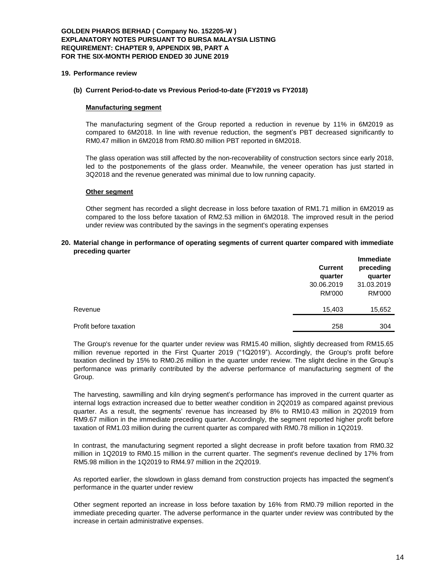### **GOLDEN PHAROS BERHAD ( Company No. 152205-W ) EXPLANATORY NOTES PURSUANT TO BURSA MALAYSIA LISTING REQUIREMENT: CHAPTER 9, APPENDIX 9B, PART A FOR THE SIX-MONTH PERIOD ENDED 30 JUNE 2019**

#### **19. Performance review**

#### **(b) Current Period-to-date vs Previous Period-to-date (FY2019 vs FY2018)**

#### **Manufacturing segment**

The manufacturing segment of the Group reported a reduction in revenue by 11% in 6M2019 as compared to 6M2018. In line with revenue reduction, the segment's PBT decreased significantly to RM0.47 million in 6M2018 from RM0.80 million PBT reported in 6M2018.

The glass operation was still affected by the non-recoverability of construction sectors since early 2018, led to the postponements of the glass order. Meanwhile, the veneer operation has just started in 3Q2018 and the revenue generated was minimal due to low running capacity.

#### **Other segment**

Other segment has recorded a slight decrease in loss before taxation of RM1.71 million in 6M2019 as compared to the loss before taxation of RM2.53 million in 6M2018. The improved result in the period under review was contributed by the savings in the segment's operating expenses

#### **20. Material change in performance of operating segments of current quarter compared with immediate preceding quarter**

|                        | <b>Current</b><br>quarter | <b>Immediate</b><br>preceding<br>quarter |
|------------------------|---------------------------|------------------------------------------|
|                        | 30.06.2019                | 31.03.2019                               |
|                        | <b>RM'000</b>             | RM'000                                   |
| Revenue                | 15,403                    | 15,652                                   |
| Profit before taxation | 258                       | 304                                      |

The Group's revenue for the quarter under review was RM15.40 million, slightly decreased from RM15.65 million revenue reported in the First Quarter 2019 ("1Q2019"). Accordingly, the Group's profit before taxation declined by 15% to RM0.26 million in the quarter under review. The slight decline in the Group's performance was primarily contributed by the adverse performance of manufacturing segment of the Group.

The harvesting, sawmilling and kiln drying segment's performance has improved in the current quarter as internal logs extraction increased due to better weather condition in 2Q2019 as compared against previous quarter. As a result, the segments' revenue has increased by 8% to RM10.43 million in 2Q2019 from RM9.67 million in the immediate preceding quarter. Accordingly, the segment reported higher profit before taxation of RM1.03 million during the current quarter as compared with RM0.78 million in 1Q2019.

In contrast, the manufacturing segment reported a slight decrease in profit before taxation from RM0.32 million in 1Q2019 to RM0.15 million in the current quarter. The segment's revenue declined by 17% from RM5.98 million in the 1Q2019 to RM4.97 million in the 2Q2019.

As reported earlier, the slowdown in glass demand from construction projects has impacted the segment's performance in the quarter under review

Other segment reported an increase in loss before taxation by 16% from RM0.79 million reported in the immediate preceding quarter. The adverse performance in the quarter under review was contributed by the increase in certain administrative expenses.